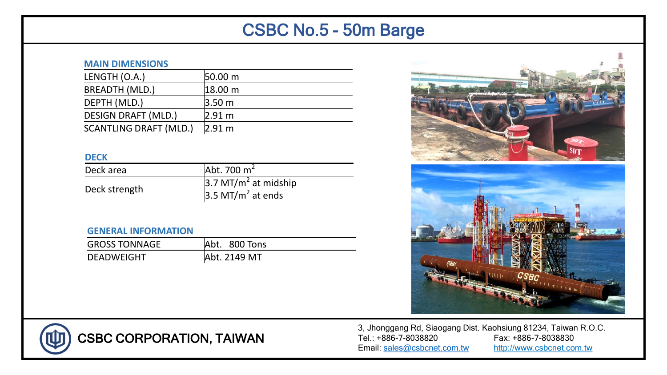# CSBC No.5 - 50m Barge

### **MAIN DIMENSIONS**

| LENGTH (O.A.)                 | 50.00 m             |
|-------------------------------|---------------------|
| <b>BREADTH (MLD.)</b>         | $ 18.00 \text{ m} $ |
| DEPTH (MLD.)                  | 3.50 <sub>m</sub>   |
| <b>DESIGN DRAFT (MLD.)</b>    | 2.91 m              |
| <b>SCANTLING DRAFT (MLD.)</b> | 2.91 m              |

### **DECK**

| Deck area     | $\lambda$ bt. 700 m <sup>2</sup>   |
|---------------|------------------------------------|
|               | $3.7$ MT/m <sup>2</sup> at midship |
| Deck strength | $3.5$ MT/m <sup>2</sup> at ends    |

## **GENERAL INFORMATION**

| <b>GROSS TONNAGE</b> | Abt. 800 Tons |
|----------------------|---------------|
| DEADWEIGHT           | Abt. 2149 MT  |





CSBC CORPORATION, TAIWAN

3, Jhonggang Rd, Siaogang Dist. Kaohsiung 81234, Taiwan R.O.C. Tel.: +886-7-8038820 Fax: +886-7-8038830 Email: [sales@csbcnet.com.tw](mailto:sales@csbcnet.com.tw) http://www.csbcnet.com.tw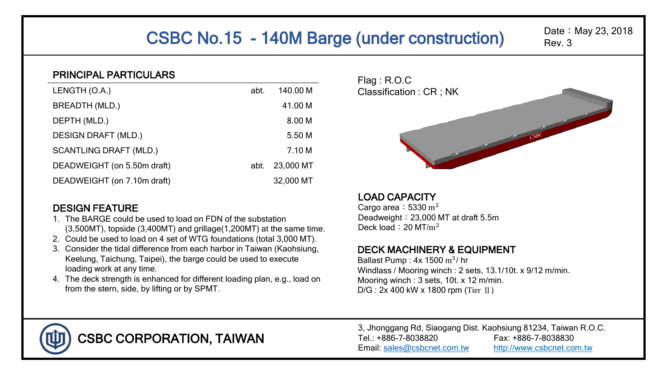# CSBC No.15 - 140M Barge (under construction)

## Date: May 23, 2018 Rev. 3

## PRINCIPAL PARTICULARS

| LENGTH (O.A.)                 | abt. | 140.00 M  |
|-------------------------------|------|-----------|
| BREADTH (MLD.)                |      | 41.00 M   |
| DEPTH (MLD.)                  |      | 8.00 M    |
| <b>DESIGN DRAFT (MLD.)</b>    |      | 5.50 M    |
| <b>SCANTLING DRAFT (MLD.)</b> |      | 7.10 M    |
| DEADWEIGHT (on 5.50m draft)   | abt. | 23,000 MT |
| DEADWEIGHT (on 7.10m draft)   |      | 32,000 MT |

## DESIGN FEATURE

- 1. The BARGE could be used to load on FDN of the substation (3,500MT), topside (3,400MT) and grillage(1,200MT) at the same time.
- 2. Could be used to load on 4 set of WTG foundations (total 3,000 MT).
- 3. Consider the tidal difference from each harbor in Taiwan (Kaohsiung, Keelung, Taichung, Taipei), the barge could be used to execute loading work at any time.
- 4. The deck strength is enhanced for different loading plan, e.g., load on from the stern, side, by lifting or by SPMT.



# LOAD CAPACITY

Cargo area:  $5330 \text{ m}^2$ Deadweight: 23,000 MT at draft 5.5m Deck load:  $20 \text{ MT/m}^2$ 

## DECK MACHINERY & EQUIPMENT

Ballast Pump:  $4x$  1500 m<sup>3</sup>/ hr Windlass / Mooring winch : 2 sets, 13.1/10t. x 9/12 m/min. Mooring winch : 3 sets, 10t. x 12 m/min.  $D/G$ : 2x 400 kW x 1800 rpm (Tier  $\text{I}$ )



CSBC CORPORATION, TAIWAN

3, Jhonggang Rd, Siaogang Dist. Kaohsiung 81234, Taiwan R.O.C. Tel.: +886-7-8038820 Fax: +886-7-8038830 Email: [sales@csbcnet.com.tw](mailto:sales@csbcnet.com.tw) http://www.csbcnet.com.tw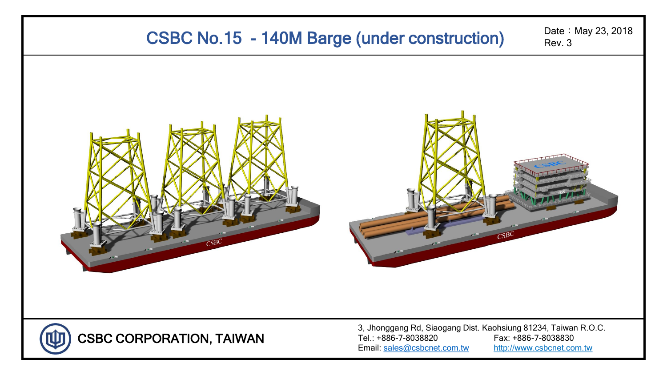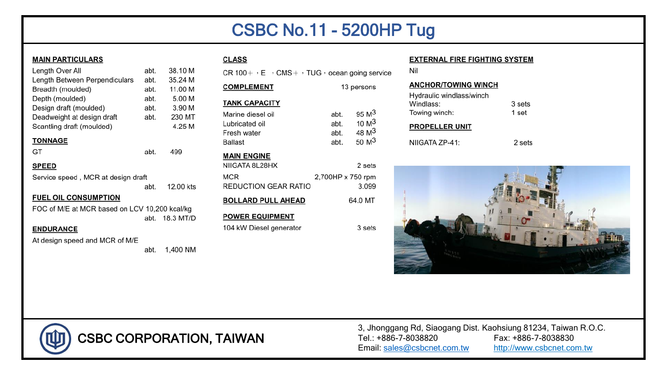# **CSBC No.11 - 5200HP Tug**

3 sets

#### **MAIN PARTICULARS**

| Length Over All               | abt. | 38.10  |
|-------------------------------|------|--------|
| Length Between Perpendiculars | abt. | 35.24  |
| Breadth (moulded)             | abt. | 11.001 |
| Depth (moulded)               | abt. | 5.001  |
| Design draft (moulded)        | abt. | 3.901  |
| Deadweight at design draft    | abt. | 230 M  |
| Scantling draft (moulded)     |      | 4.25   |
| <b>TONNAGE</b>                |      |        |
| GT                            | abt. | 499    |
|                               |      |        |

#### **SPEED**

| Service speed, MCR at design draft |      |           |
|------------------------------------|------|-----------|
|                                    | abt. | 12.00 kts |

#### **FUEL OIL CONSUMPTION**

FOC of M/E at MCR based on LCV 10,200 kcal/kg abt. 18.3 MT/D

#### **ENDURANCE**

At design speed and MCR of M/E

abt. 1,400 NM

## **CLASS**

CR 100 +  $\cdot$  E  $\cdot$  CMS +  $\cdot$  TUG  $\cdot$  ocean going service

| COMPLEMENT                                                                | 13 persons                   |                                                                        |
|---------------------------------------------------------------------------|------------------------------|------------------------------------------------------------------------|
| <b>TANK CAPACITY</b>                                                      |                              |                                                                        |
| Marine diesel oil<br>ubricated oil <sub>-</sub><br>Fresh water<br>3allast | abt.<br>abt.<br>abt.<br>abt. | 95 $M3$<br>10 M <sup>3</sup><br>48 M <sup>3</sup><br>50 M <sup>3</sup> |
| <b>MAIN ENGINE</b>                                                        |                              |                                                                        |

| <b>BOLLARD PULL AHEAD</b>          | 64.0 MT                    |
|------------------------------------|----------------------------|
| MCR<br><b>REDUCTION GEAR RATIO</b> | 2,700HP x 750 rpm<br>3.099 |
| NIIGATA 8L28HX                     | 2 sets                     |

#### **POWER EQUIPMENT**

104 kW Diesel generator

#### **EXTERNAL FIRE FIGHTING SYSTEM**

Nil

#### **ANCHOR/TOWING WINCH** Hydraulic windlass/winch Windlass: 3 sets Towing winch: 1 set

#### **PROPELLER UNIT**

NIIGATA ZP-41:







**CSBC CORPORATION, TAIWAN** 

3, Jhonggang Rd, Siaogang Dist. Kaohsiung 81234, Taiwan R.O.C. Tel.: +886-7-8038820 Fax: +886-7-8038830 Email: sales@csbcnet.com.tw http://www.csbcnet.com.tw